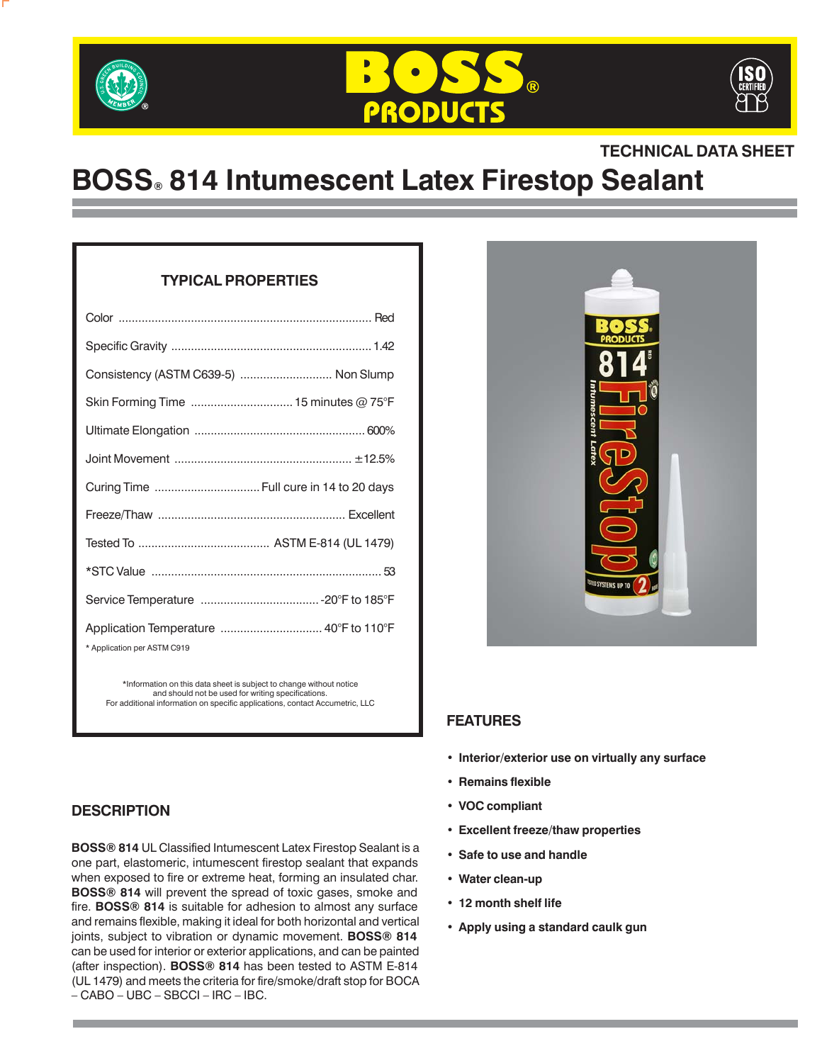





# **TECHNICAL DATA SHEET**

# **BOSS® 814 Intumescent Latex Firestop Sealant**

# **TYPICAL PROPERTIES**

| Consistency (ASTM C639-5)  Non Slump                                  |  |
|-----------------------------------------------------------------------|--|
| Skin Forming Time  15 minutes @ 75°F                                  |  |
|                                                                       |  |
|                                                                       |  |
| Curing Time  Full cure in 14 to 20 days                               |  |
|                                                                       |  |
|                                                                       |  |
|                                                                       |  |
|                                                                       |  |
| Application Temperature  40°F to 110°F<br>* Application per ASTM C919 |  |

\*Information on this data sheet is subject to change without notice and should not be used for writing specifications. For additional information on specific applications, contact Accumetric, LLC

# **DESCRIPTION**

**BOSS® 814** UL Classified Intumescent Latex Firestop Sealant is a one part, elastomeric, intumescent firestop sealant that expands when exposed to fire or extreme heat, forming an insulated char. **BOSS® 814** will prevent the spread of toxic gases, smoke and fire. **BOSS® 814** is suitable for adhesion to almost any surface and remains flexible, making it ideal for both horizontal and vertical joints, subject to vibration or dynamic movement. **BOSS® 814** can be used for interior or exterior applications, and can be painted (after inspection). **BOSS® 814** has been tested to ASTM E-814 (UL 1479) and meets the criteria for fire/smoke/draft stop for BOCA – CABO – UBC – SBCCI – IRC – IBC.



# **FEATURES**

- **• Interior/exterior use on virtually any surface**
- **• Remains flexible**
- **• VOC compliant**
- **• Excellent freeze/thaw properties**
- **• Safe to use and handle**
- **• Water clean-up**
- **• 12 month shelf life**
- **• Apply using a standard caulk gun**